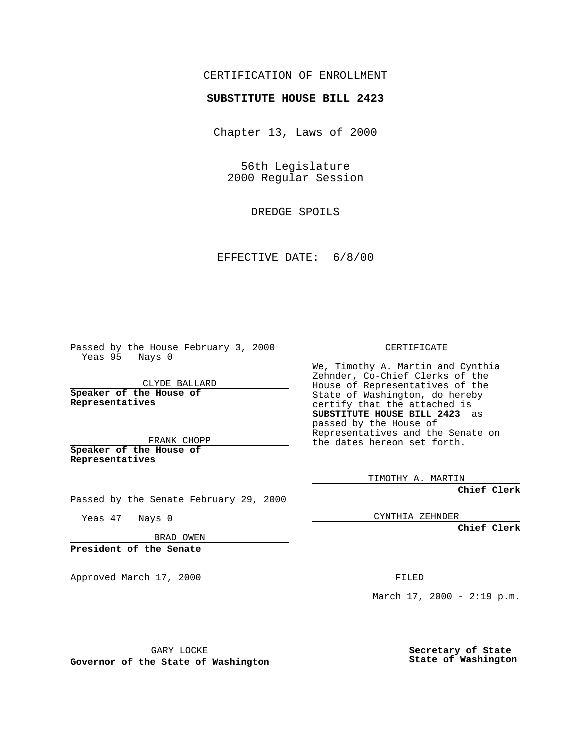## CERTIFICATION OF ENROLLMENT

## **SUBSTITUTE HOUSE BILL 2423**

Chapter 13, Laws of 2000

56th Legislature 2000 Regular Session

DREDGE SPOILS

EFFECTIVE DATE: 6/8/00

Passed by the House February 3, 2000 Yeas 95 Nays 0

CLYDE BALLARD **Speaker of the House of Representatives**

FRANK CHOPP **Speaker of the House of**

**Representatives**

Yeas 47 Nays 0

CERTIFICATE

We, Timothy A. Martin and Cynthia Zehnder, Co-Chief Clerks of the House of Representatives of the State of Washington, do hereby certify that the attached is **SUBSTITUTE HOUSE BILL 2423** as passed by the House of Representatives and the Senate on the dates hereon set forth.

TIMOTHY A. MARTIN

**Chief Clerk**

CYNTHIA ZEHNDER

**Chief Clerk**

BRAD OWEN

Passed by the Senate February 29, 2000

**President of the Senate**

Approved March 17, 2000 FILED

GARY LOCKE

**Governor of the State of Washington**

March  $17, 2000 - 2:19 p.m.$ 

**Secretary of State State of Washington**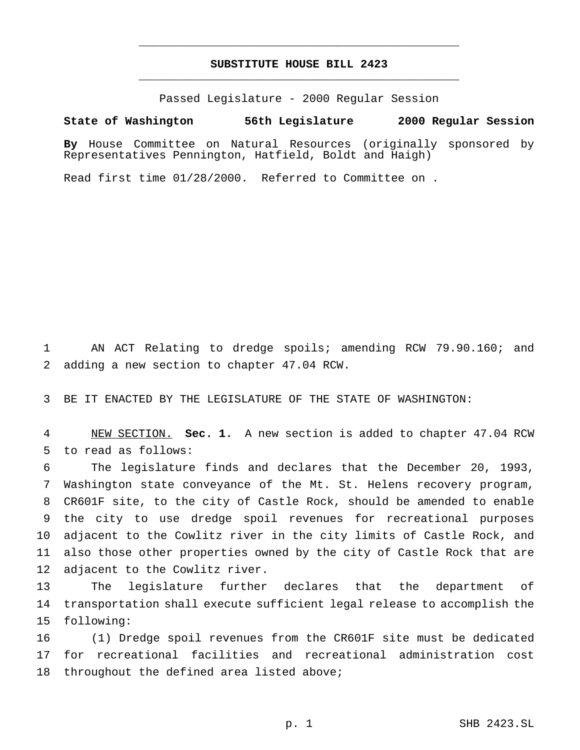## **SUBSTITUTE HOUSE BILL 2423** \_\_\_\_\_\_\_\_\_\_\_\_\_\_\_\_\_\_\_\_\_\_\_\_\_\_\_\_\_\_\_\_\_\_\_\_\_\_\_\_\_\_\_\_\_\_\_

\_\_\_\_\_\_\_\_\_\_\_\_\_\_\_\_\_\_\_\_\_\_\_\_\_\_\_\_\_\_\_\_\_\_\_\_\_\_\_\_\_\_\_\_\_\_\_

Passed Legislature - 2000 Regular Session

## **State of Washington 56th Legislature 2000 Regular Session**

**By** House Committee on Natural Resources (originally sponsored by Representatives Pennington, Hatfield, Boldt and Haigh)

Read first time 01/28/2000. Referred to Committee on .

 AN ACT Relating to dredge spoils; amending RCW 79.90.160; and adding a new section to chapter 47.04 RCW.

BE IT ENACTED BY THE LEGISLATURE OF THE STATE OF WASHINGTON:

 NEW SECTION. **Sec. 1.** A new section is added to chapter 47.04 RCW to read as follows:

 The legislature finds and declares that the December 20, 1993, Washington state conveyance of the Mt. St. Helens recovery program, CR601F site, to the city of Castle Rock, should be amended to enable the city to use dredge spoil revenues for recreational purposes adjacent to the Cowlitz river in the city limits of Castle Rock, and also those other properties owned by the city of Castle Rock that are adjacent to the Cowlitz river.

 The legislature further declares that the department of transportation shall execute sufficient legal release to accomplish the following:

 (1) Dredge spoil revenues from the CR601F site must be dedicated for recreational facilities and recreational administration cost 18 throughout the defined area listed above;